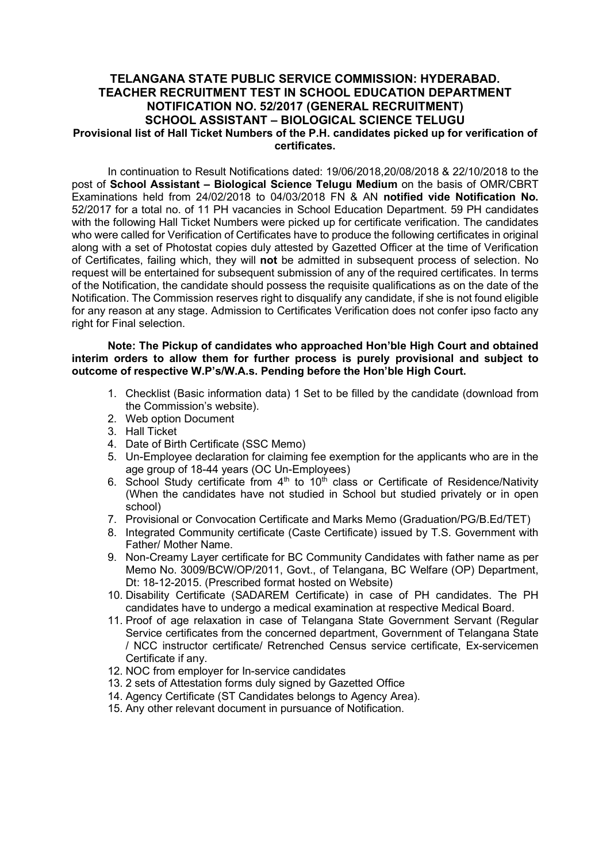## TELANGANA STATE PUBLIC SERVICE COMMISSION: HYDERABAD. TEACHER RECRUITMENT TEST IN SCHOOL EDUCATION DEPARTMENT NOTIFICATION NO. 52/2017 (GENERAL RECRUITMENT) SCHOOL ASSISTANT – BIOLOGICAL SCIENCE TELUGU Provisional list of Hall Ticket Numbers of the P.H. candidates picked up for verification of certificates.

In continuation to Result Notifications dated: 19/06/2018,20/08/2018 & 22/10/2018 to the post of School Assistant – Biological Science Telugu Medium on the basis of OMR/CBRT Examinations held from 24/02/2018 to 04/03/2018 FN & AN notified vide Notification No. 52/2017 for a total no. of 11 PH vacancies in School Education Department. 59 PH candidates with the following Hall Ticket Numbers were picked up for certificate verification. The candidates who were called for Verification of Certificates have to produce the following certificates in original along with a set of Photostat copies duly attested by Gazetted Officer at the time of Verification of Certificates, failing which, they will not be admitted in subsequent process of selection. No request will be entertained for subsequent submission of any of the required certificates. In terms of the Notification, the candidate should possess the requisite qualifications as on the date of the Notification. The Commission reserves right to disqualify any candidate, if she is not found eligible for any reason at any stage. Admission to Certificates Verification does not confer ipso facto any right for Final selection.

## Note: The Pickup of candidates who approached Hon'ble High Court and obtained interim orders to allow them for further process is purely provisional and subject to outcome of respective W.P's/W.A.s. Pending before the Hon'ble High Court.

- 1. Checklist (Basic information data) 1 Set to be filled by the candidate (download from the Commission's website).
- 2. Web option Document
- 3. Hall Ticket
- 4. Date of Birth Certificate (SSC Memo)
- 5. Un-Employee declaration for claiming fee exemption for the applicants who are in the age group of 18-44 years (OC Un-Employees)
- 6. School Study certificate from  $4<sup>th</sup>$  to  $10<sup>th</sup>$  class or Certificate of Residence/Nativity (When the candidates have not studied in School but studied privately or in open school)
- 7. Provisional or Convocation Certificate and Marks Memo (Graduation/PG/B.Ed/TET)
- 8. Integrated Community certificate (Caste Certificate) issued by T.S. Government with Father/ Mother Name.
- 9. Non-Creamy Layer certificate for BC Community Candidates with father name as per Memo No. 3009/BCW/OP/2011, Govt., of Telangana, BC Welfare (OP) Department, Dt: 18-12-2015. (Prescribed format hosted on Website)
- 10. Disability Certificate (SADAREM Certificate) in case of PH candidates. The PH candidates have to undergo a medical examination at respective Medical Board.
- 11. Proof of age relaxation in case of Telangana State Government Servant (Regular Service certificates from the concerned department, Government of Telangana State / NCC instructor certificate/ Retrenched Census service certificate, Ex-servicemen Certificate if any.
- 12. NOC from employer for In-service candidates
- 13. 2 sets of Attestation forms duly signed by Gazetted Office
- 14. Agency Certificate (ST Candidates belongs to Agency Area).
- 15. Any other relevant document in pursuance of Notification.